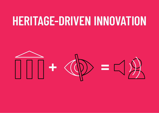## **HERITAGE-DRIVEN INNOVATION**

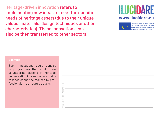Heritage-driven innovation refers to implementing new ideas to meet the specific needs of heritage assets (due to their unique values, materials, design techniques or other characteristics). These innovations can also be then transferred to other sectors.

### **ILUCIDARE www.ilucidare.eu**



This project has received funding from the European Union's Horizon 2020 research and innovation programme under grant agreement No 821394

Such innovations could consist in programmes that would train volunteering citizens in heritage conservation in areas where maintenance cannot be realised by professionals in a structured basis.

Simon Ruaut Graphic design : Simon Ruaut raphic design: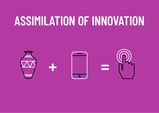## **ASSIMILATION OF INNOVATION**

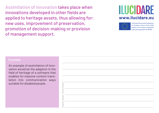Assimilation of innovation takes place when innovations developed in other fields are applied to heritage assets, thus allowing for: new uses, improvement of preservation, promotion of decision-making or provision of management support.

## ILUCIDARE **www.ilucidare.eu**



This project has received funding from the European Union's Horizon 2020 research and innovation programme under grant agreement No 821394

An example of assimilation of innovation would be the adaption in the field of heritage of a software that enables for massive content translation into communication ways suitable for disabled people.

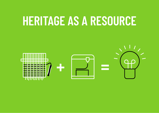## **HERITAGE AS A RESOURCE**

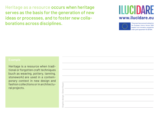Heritage as a resource occurs when heritage serves as the basis for the generation of new ideas or processes, and to foster new collaborations across disciplines.

### ILUCIDARE **www.ilucidare.eu**



This project has received funding from the European Union's Horizon 2020 research and innovation programme under grant agreement No 821394.

Heritage is a resource when traditional or forgotten craft techniques (such as weaving, pottery, tanning, stonework) are used in a contemporary context in new design and fashion collections or in architectural projects.

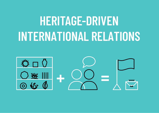# **HERITAGE-DRIVEN INTERNATIONAL RELATIONS**

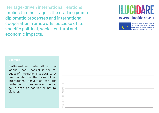**Heritage-driven international relations** implies that heritage is the starting point of diplomatic processes and international cooperation frameworks because of its specific political, social, cultural and economic impacts.

### **ILUCIDARE www.ilucidare.eu**



This project has received funding from the European Union's Horizon 2020 research and innovation programme under grant agreement No 821394

Heritage-driven international relations can consist in the request of international assistance by one country on the basis of an international convention for the protection of endangered heritage in case of conflict or natural disaster.

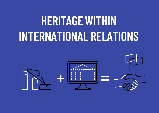# **HERITAGE WITHIN INTERNATIONAL RELATIONS**

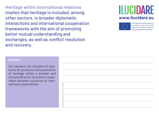**Heritage within international relations** implies that heritage is included, among other sectors, in broader diplomatic interactions and international cooperation frameworks with the aim of promoting better mutual understanding and exchanges, as well as conflict resolution and recovery.

## **ILUCIDARE www.ilucidare.eu**



his project has received funding from the European Union's Horizon 2020 research and innovation programme under grant agreement No 821394

### **Example**

For instance, the inclusion of measures for protection and promotion of heritage within a broader and structured socio-economic cooperation between countries or international organisations.

Simon Ruaut Graphic design : Simon Ruaut raphic design: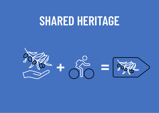## **SHARED HERITAGE**